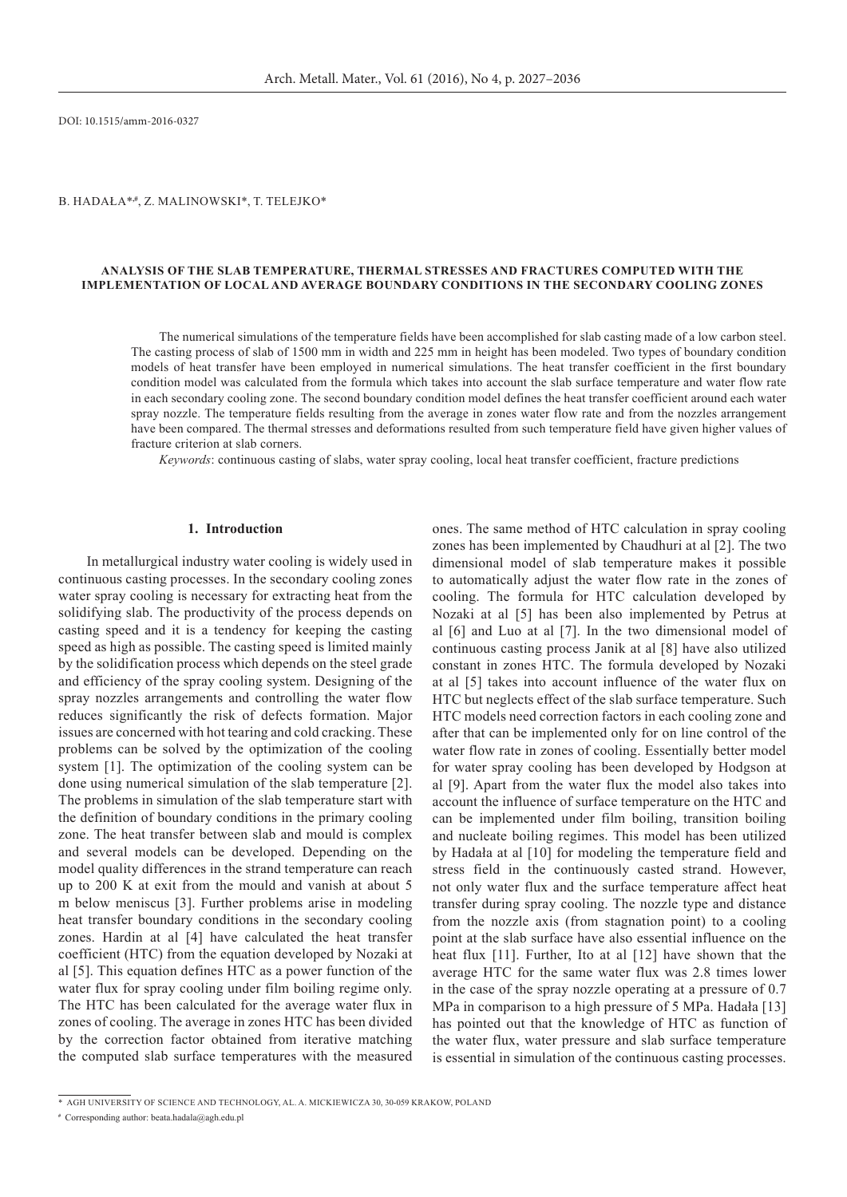DOI: 10.1515/amm-2016-0327

# B. HADAŁA<sup>\*,#</sup>, Z. MALINOWSKI<sup>\*</sup>, T. TELEJKO<sup>\*</sup>

### **ANALYSIS OF THE SLAB TEMPERATURE, THERMAL STRESSES AND FRACTURES COMPUTED WITH THE IMPLEMENTATION OF LOCAL AND AVERAGE BOUNDARY CONDITIONS IN THE SECONDARY COOLING ZONES**

The numerical simulations of the temperature fields have been accomplished for slab casting made of a low carbon steel. The casting process of slab of 1500 mm in width and 225 mm in height has been modeled. Two types of boundary condition models of heat transfer have been employed in numerical simulations. The heat transfer coefficient in the first boundary condition model was calculated from the formula which takes into account the slab surface temperature and water flow rate in each secondary cooling zone. The second boundary condition model defines the heat transfer coefficient around each water spray nozzle. The temperature fields resulting from the average in zones water flow rate and from the nozzles arrangement have been compared. The thermal stresses and deformations resulted from such temperature field have given higher values of fracture criterion at slab corners.

*Keywords*: continuous casting of slabs, water spray cooling, local heat transfer coefficient, fracture predictions

#### **1. Introduction**

In metallurgical industry water cooling is widely used in continuous casting processes. In the secondary cooling zones water spray cooling is necessary for extracting heat from the solidifying slab. The productivity of the process depends on casting speed and it is a tendency for keeping the casting speed as high as possible. The casting speed is limited mainly by the solidification process which depends on the steel grade and efficiency of the spray cooling system. Designing of the spray nozzles arrangements and controlling the water flow reduces significantly the risk of defects formation. Major issues are concerned with hot tearing and cold cracking. These problems can be solved by the optimization of the cooling system [1]. The optimization of the cooling system can be done using numerical simulation of the slab temperature [2]. The problems in simulation of the slab temperature start with the definition of boundary conditions in the primary cooling zone. The heat transfer between slab and mould is complex and several models can be developed. Depending on the model quality differences in the strand temperature can reach up to 200 K at exit from the mould and vanish at about 5 m below meniscus [3]. Further problems arise in modeling heat transfer boundary conditions in the secondary cooling zones. Hardin at al [4] have calculated the heat transfer coefficient (HTC) from the equation developed by Nozaki at al [5]. This equation defines HTC as a power function of the water flux for spray cooling under film boiling regime only. The HTC has been calculated for the average water flux in zones of cooling. The average in zones HTC has been divided by the correction factor obtained from iterative matching the computed slab surface temperatures with the measured ones. The same method of HTC calculation in spray cooling zones has been implemented by Chaudhuri at al [2]. The two dimensional model of slab temperature makes it possible to automatically adjust the water flow rate in the zones of cooling. The formula for HTC calculation developed by Nozaki at al [5] has been also implemented by Petrus at al [6] and Luo at al [7]. In the two dimensional model of continuous casting process Janik at al [8] have also utilized constant in zones HTC. The formula developed by Nozaki at al [5] takes into account influence of the water flux on HTC but neglects effect of the slab surface temperature. Such HTC models need correction factors in each cooling zone and after that can be implemented only for on line control of the water flow rate in zones of cooling. Essentially better model for water spray cooling has been developed by Hodgson at al [9]. Apart from the water flux the model also takes into account the influence of surface temperature on the HTC and can be implemented under film boiling, transition boiling and nucleate boiling regimes. This model has been utilized by Hadała at al [10] for modeling the temperature field and stress field in the continuously casted strand. However, not only water flux and the surface temperature affect heat transfer during spray cooling. The nozzle type and distance from the nozzle axis (from stagnation point) to a cooling point at the slab surface have also essential influence on the heat flux [11]. Further, Ito at al [12] have shown that the average HTC for the same water flux was 2.8 times lower in the case of the spray nozzle operating at a pressure of 0.7 MPa in comparison to a high pressure of 5 MPa. Hadała [13] has pointed out that the knowledge of HTC as function of the water flux, water pressure and slab surface temperature is essential in simulation of the continuous casting processes.

<sup>\*</sup>AGH UNIVERSITY OF SCIENCE AND TECHNOLOGY, AL. A. MICKIEWICZA 30, 30-059 KRAKOW, POLAND

**<sup>#</sup>** Corresponding author: beata.hadala@agh.edu.pl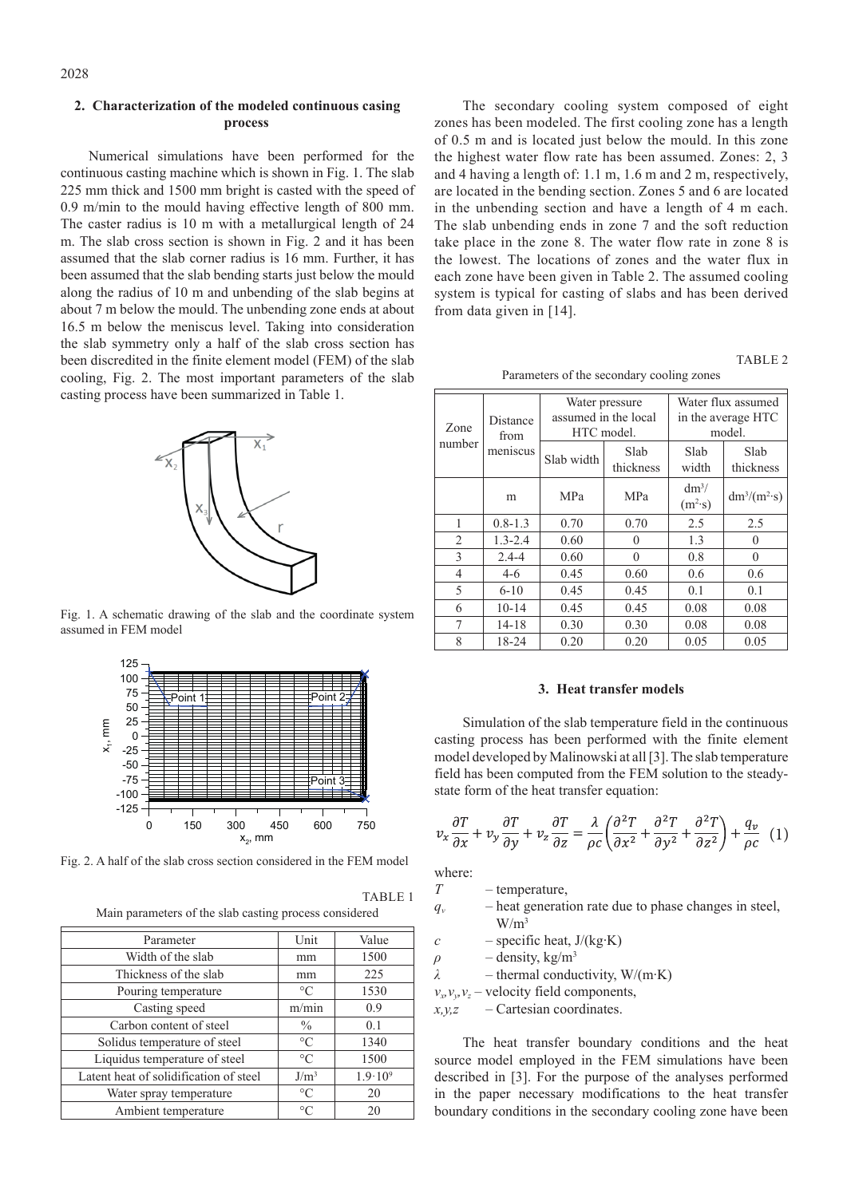## **2. Characterization of the modeled continuous casing process**

Numerical simulations have been performed for the continuous casting machine which is shown in Fig. 1. The slab 225 mm thick and 1500 mm bright is casted with the speed of 0.9 m/min to the mould having effective length of 800 mm. The caster radius is 10 m with a metallurgical length of 24 m. The slab cross section is shown in Fig. 2 and it has been assumed that the slab corner radius is 16 mm. Further, it has been assumed that the slab bending starts just below the mould along the radius of 10 m and unbending of the slab begins at about 7 m below the mould. The unbending zone ends at about 16.5 m below the meniscus level. Taking into consideration the slab symmetry only a half of the slab cross section has been discredited in the finite element model (FEM) of the slab cooling, Fig. 2. The most important parameters of the slab casting process have been summarized in Table 1.



Fig. 1. A schematic drawing of the slab and the coordinate system assumed in FEM model



Fig. 2. A half of the slab cross section considered in the FEM model

TABLE 1 Main parameters of the slab casting process considered

| Parameter                              | Unit            | Value              |
|----------------------------------------|-----------------|--------------------|
| Width of the slab                      | mm              | 1500               |
| Thickness of the slab                  | mm              | 225                |
| Pouring temperature                    | $\circ$ C       | 1530               |
| Casting speed                          | m/min           | 0.9                |
| Carbon content of steel                | $\frac{0}{0}$   | 0.1                |
| Solidus temperature of steel           | $\circ$ C       | 1340               |
| Liquidus temperature of steel          | $\rm ^{\circ}C$ | 1500               |
| Latent heat of solidification of steel | $J/m^3$         | $1.9 \cdot 10^{9}$ |
| Water spray temperature                | $\rm ^{\circ}C$ | 20                 |
| Ambient temperature                    | $\circ$ C       | 20                 |

The secondary cooling system composed of eight zones has been modeled. The first cooling zone has a length of 0.5 m and is located just below the mould. In this zone the highest water flow rate has been assumed. Zones: 2, 3 and 4 having a length of: 1.1 m, 1.6 m and 2 m, respectively, are located in the bending section. Zones 5 and 6 are located in the unbending section and have a length of 4 m each. The slab unbending ends in zone 7 and the soft reduction take place in the zone 8. The water flow rate in zone 8 is the lowest. The locations of zones and the water flux in each zone have been given in Table 2. The assumed cooling system is typical for casting of slabs and has been derived from data given in [14].

TABLE 2

| Zone<br>number | Distance<br>from | Water pressure<br>assumed in the local<br>HTC model. |                   | Water flux assumed<br>in the average HTC<br>model. |                   |
|----------------|------------------|------------------------------------------------------|-------------------|----------------------------------------------------|-------------------|
|                | meniscus         | Slab width                                           | Slab<br>thickness | Slab<br>width                                      | Slab<br>thickness |
|                | m                | <b>MPa</b>                                           | <b>MPa</b>        | $dm^3/$<br>$(m^2 \cdot s)$                         | $dm^3/(m^2s)$     |
| 1              | $0.8 - 1.3$      | 0.70                                                 | 0.70              | 2.5                                                | 2.5               |
| $\overline{c}$ | $1.3 - 2.4$      | 0.60                                                 | $\Omega$          | 1.3                                                | $\theta$          |
| 3              | $2.4 - 4$        | 0.60                                                 | $\theta$          | 0.8                                                | $\theta$          |
| 4              | $4-6$            | 0.45                                                 | 0.60              | 0.6                                                | 0.6               |
| 5              | $6 - 10$         | 0.45                                                 | 0.45              | 0.1                                                | 0.1               |
| 6              | $10 - 14$        | 0.45                                                 | 0.45              | 0.08                                               | 0.08              |
| 7              | $14 - 18$        | 0.30                                                 | 0.30              | 0.08                                               | 0.08              |
| 8              | 18-24            | 0.20                                                 | 0.20              | 0.05                                               | 0.05              |

### **3. Heat transfer models**

Simulation of the slab temperature field in the continuous casting process has been performed with the finite element model developed by Malinowski at all [3]. The slab temperature field has been computed from the FEM solution to the steadystate form of the heat transfer equation:

$$
v_x \frac{\partial T}{\partial x} + v_y \frac{\partial T}{\partial y} + v_z \frac{\partial T}{\partial z} = \frac{\lambda}{\rho c} \left( \frac{\partial^2 T}{\partial x^2} + \frac{\partial^2 T}{\partial y^2} + \frac{\partial^2 T}{\partial z^2} \right) + \frac{q_v}{\rho c} \tag{1}
$$

where:

*T* – temperature,

- $q_v$  heat generation rate due to phase changes in steel,  $W/m<sup>3</sup>$
- $c$  specific heat,  $J/(kg·K)$

 $\rho$  – density, kg/m<sup>3</sup>

*λ* – thermal conductivity, W/(m∙K)

 $v_x, v_y, v_z$  – velocity field components,

*x,y,z* – Cartesian coordinates.

The heat transfer boundary conditions and the heat source model employed in the FEM simulations have been described in [3]. For the purpose of the analyses performed in the paper necessary modifications to the heat transfer boundary conditions in the secondary cooling zone have been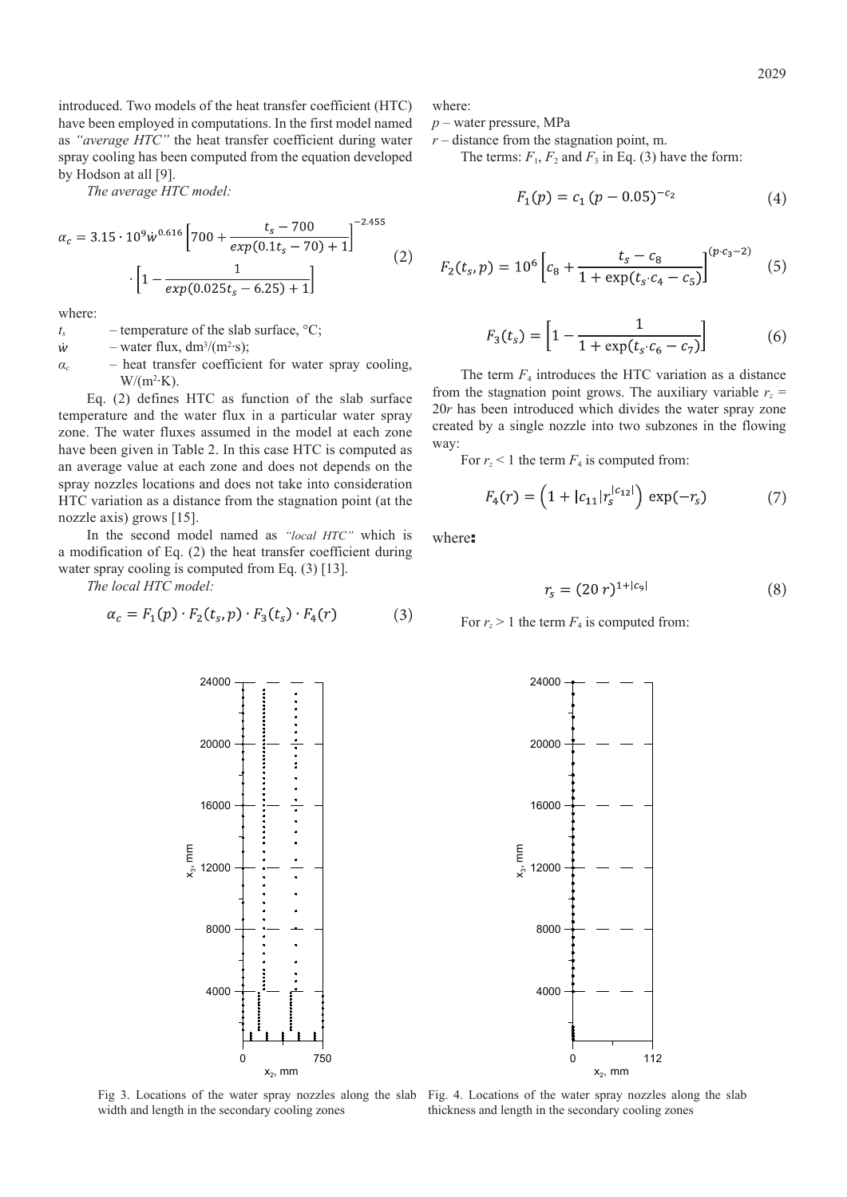introduced. Two models of the heat transfer coefficient (HTC) have been employed in computations. In the first model named as *"average HTC"* the heat transfer coefficient during water spray cooling has been computed from the equation developed by Hodson at all [9].

*The average HTC model:*

$$
\alpha_c = 3.15 \cdot 10^9 \dot{w}^{0.616} \left[ 700 + \frac{t_s - 700}{exp(0.1t_s - 70) + 1} \right]^{-2.455}
$$
  
 
$$
\cdot \left[ 1 - \frac{1}{exp(0.025t_s - 6.25) + 1} \right]
$$
 (2)

where:

- $t_s$  temperature of the slab surface,  $\mathrm{^{\circ}C}$ ;
- $\dot{w}$  $-$  water flux, dm<sup>3</sup>/(m<sup>2</sup>·s);
- *α<sup>c</sup>* heat transfer coefficient for water spray cooling,  $W/(m^2 K)$ .

Eq. (2) defines HTC as function of the slab surface temperature and the water flux in a particular water spray zone. The water fluxes assumed in the model at each zone have been given in Table 2. In this case HTC is computed as an average value at each zone and does not depends on the spray nozzles locations and does not take into consideration HTC variation as a distance from the stagnation point (at the nozzle axis) grows [15].

In the second model named as *"local HTC"* which is a modification of Eq. (2) the heat transfer coefficient during water spray cooling is computed from Eq. (3) [13].

*The local HTC model:*

$$
\alpha_c = F_1(p) \cdot F_2(t_s, p) \cdot F_3(t_s) \cdot F_4(r) \tag{3}
$$

where:

*p* – water pressure, MPa

 $r$  – distance from the stagnation point, m.

The terms:  $F_1$ ,  $F_2$  and  $F_3$  in Eq. (3) have the form:

$$
F_1(p) = c_1 (p - 0.05)^{-c_2}
$$
 (4)

$$
F_2(t_s, p) = 10^6 \left[ c_8 + \frac{t_s - c_8}{1 + \exp(t_s \cdot c_4 - c_5)} \right]^{(p \cdot c_3 - 2)} \tag{5}
$$

$$
F_3(t_s) = \left[1 - \frac{1}{1 + \exp(t_s \cdot c_6 - c_7)}\right] \tag{6}
$$

The term  $F_4$  introduces the HTC variation as a distance from the stagnation point grows. The auxiliary variable  $r<sub>z</sub>$  = 20*r* has been introduced which divides the water spray zone created by a single nozzle into two subzones in the flowing way:

For  $r<sub>z</sub> < 1$  the term  $F<sub>4</sub>$  is computed from:

$$
F_4(r) = \left(1 + |c_{11}|r_s^{|c_{12}|}\right) \exp(-r_s) \tag{7}
$$

where:

$$
r_s = (20 \, r)^{1+|c_9|} \tag{8}
$$

For  $r_z > 1$  the term  $F_4$  is computed from:



 $x_3$ , mm



width and length in the secondary cooling zones

Fig 3. Locations of the water spray nozzles along the slab Fig. 4. Locations of the water spray nozzles along the slab thickness and length in the secondary cooling zones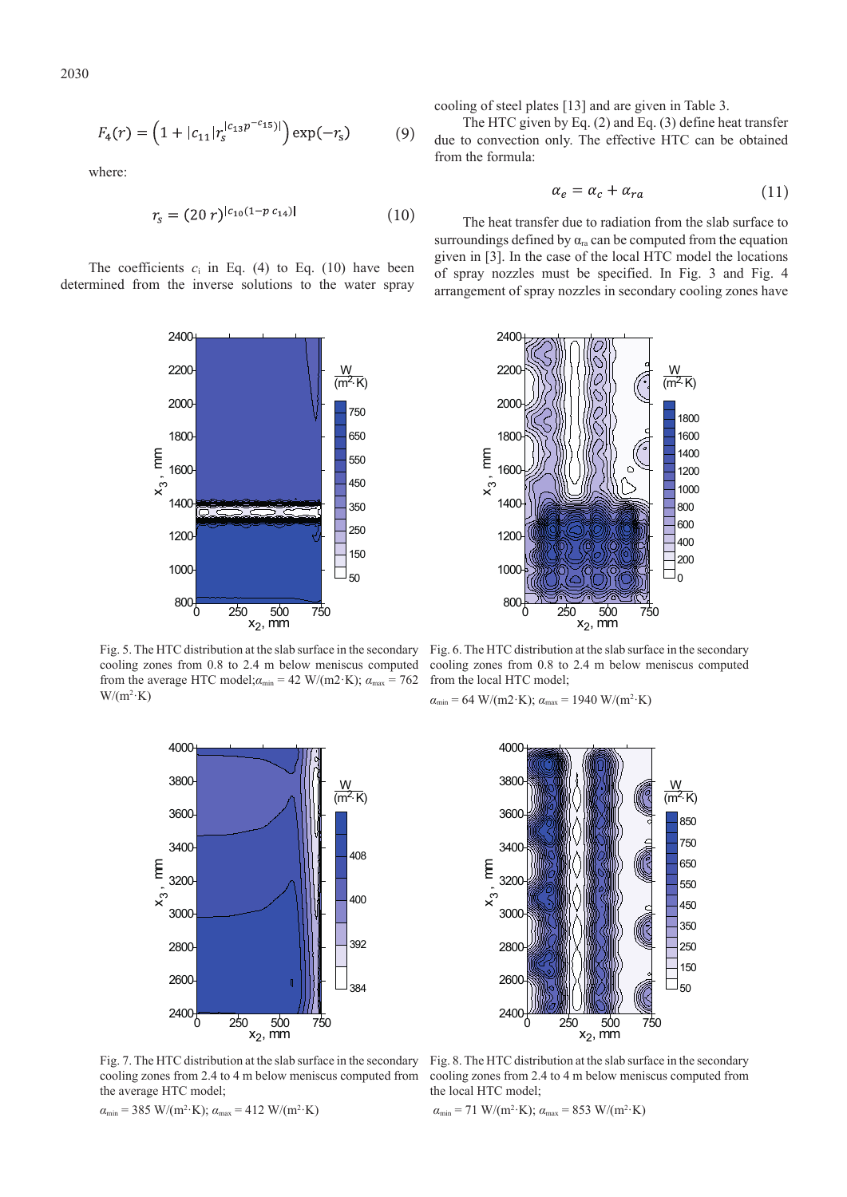$$
F_4(r) = \left(1 + |c_{11}|r_s^{|c_{13}p^{-c_{15}}|}\right) \exp(-r_s) \tag{9}
$$

where:

$$
r_s = (20 \, r)^{|c_{10}(1 - p \, c_{14})|} \tag{10}
$$

The coefficients  $c_i$  in Eq. (4) to Eq. (10) have been determined from the inverse solutions to the water spray



Fig. 5. The HTC distribution at the slab surface in the secondary cooling zones from 0.8 to 2.4 m below meniscus computed from the average HTC model; $a_{min} = 42 \text{ W/(m2·K)}$ ;  $a_{max} = 762$  $W/(m^2 \cdot K)$ 



Fig. 7. The HTC distribution at the slab surface in the secondary cooling zones from 2.4 to 4 m below meniscus computed from the average HTC model;

 $\alpha_{\min}$  = 385 W/(m<sup>2</sup>·K);  $\alpha_{\max}$  = 412 W/(m<sup>2</sup>·K)

cooling of steel plates [13] and are given in Table 3.

The HTC given by Eq. (2) and Eq. (3) define heat transfer due to convection only. The effective HTC can be obtained from the formula:

$$
\alpha_e = \alpha_c + \alpha_{ra} \tag{11}
$$

The heat transfer due to radiation from the slab surface to surroundings defined by  $\alpha_{ra}$  can be computed from the equation given in [3]. In the case of the local HTC model the locations of spray nozzles must be specified. In Fig. 3 and Fig. 4 arrangement of spray nozzles in secondary cooling zones have



Fig. 6. The HTC distribution at the slab surface in the secondary cooling zones from 0.8 to 2.4 m below meniscus computed from the local HTC model;

$$
\alpha_{\min} = 64
$$
 W/(m2·K);  $\alpha_{\max} = 1940$  W/(m<sup>2</sup>·K)



Fig. 8. The HTC distribution at the slab surface in the secondary cooling zones from 2.4 to 4 m below meniscus computed from the local HTC model;

 $\alpha_{\min}$  = 71 W/(m<sup>2</sup>·K);  $\alpha_{\max}$  = 853 W/(m<sup>2</sup>·K)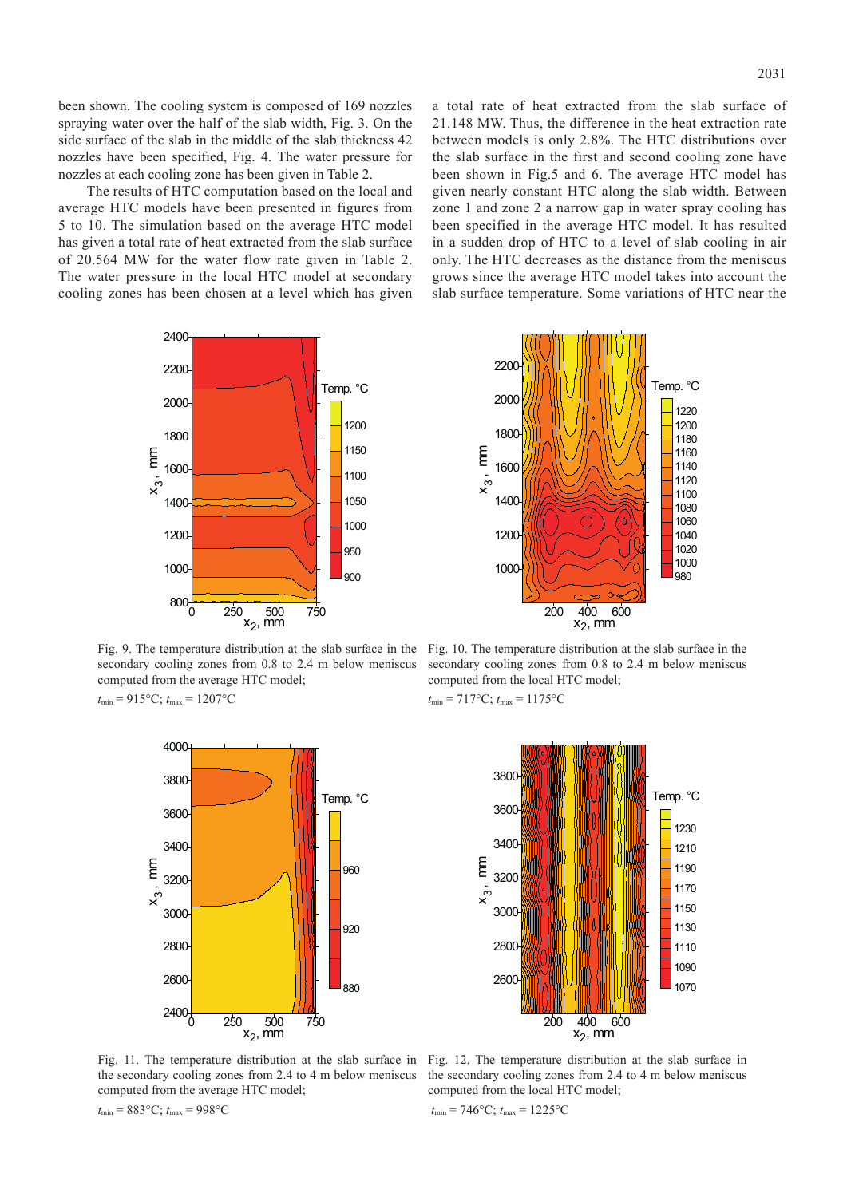been shown. The cooling system is composed of 169 nozzles spraying water over the half of the slab width, Fig. 3. On the side surface of the slab in the middle of the slab thickness 42 nozzles have been specified, Fig. 4. The water pressure for nozzles at each cooling zone has been given in Table 2.

The results of HTC computation based on the local and average HTC models have been presented in figures from 5 to 10. The simulation based on the average HTC model has given a total rate of heat extracted from the slab surface of 20.564 MW for the water flow rate given in Table 2. The water pressure in the local HTC model at secondary cooling zones has been chosen at a level which has given a total rate of heat extracted from the slab surface of 21.148 MW. Thus, the difference in the heat extraction rate between models is only 2.8%. The HTC distributions over the slab surface in the first and second cooling zone have been shown in Fig.5 and 6. The average HTC model has given nearly constant HTC along the slab width. Between zone 1 and zone 2 a narrow gap in water spray cooling has been specified in the average HTC model. It has resulted in a sudden drop of HTC to a level of slab cooling in air only. The HTC decreases as the distance from the meniscus grows since the average HTC model takes into account the slab surface temperature. Some variations of HTC near the



Fig. 9. The temperature distribution at the slab surface in the Fig. 10. The temperature distribution at the slab surface in the secondary cooling zones from 0.8 to 2.4 m below meniscus computed from the average HTC model;  $t_{\min} = 915$ °C;  $t_{\max} = 1207$ °C



the secondary cooling zones from 2.4 to 4 m below meniscus computed from the average HTC model;

*t*min = 883°C; *t*max = 998°C

200 400 600 1000 1200 1400 1600 1800 2000 2200 980 1000 1020 1040 1060 1080 1100 1120 1140 1160 1180 1200 1220  $x_2$ , mm x , m 3ξ Temp. °C

secondary cooling zones from 0.8 to 2.4 m below meniscus computed from the local HTC model;

 $t_{\text{min}} = 717$ °C;  $t_{\text{max}} = 1175$ °C



Fig. 11. The temperature distribution at the slab surface in Fig. 12. The temperature distribution at the slab surface in the secondary cooling zones from 2.4 to 4 m below meniscus computed from the local HTC model;

$$
t_{\min} = 746^{\circ}\text{C}; t_{\max} = 1225^{\circ}\text{C}
$$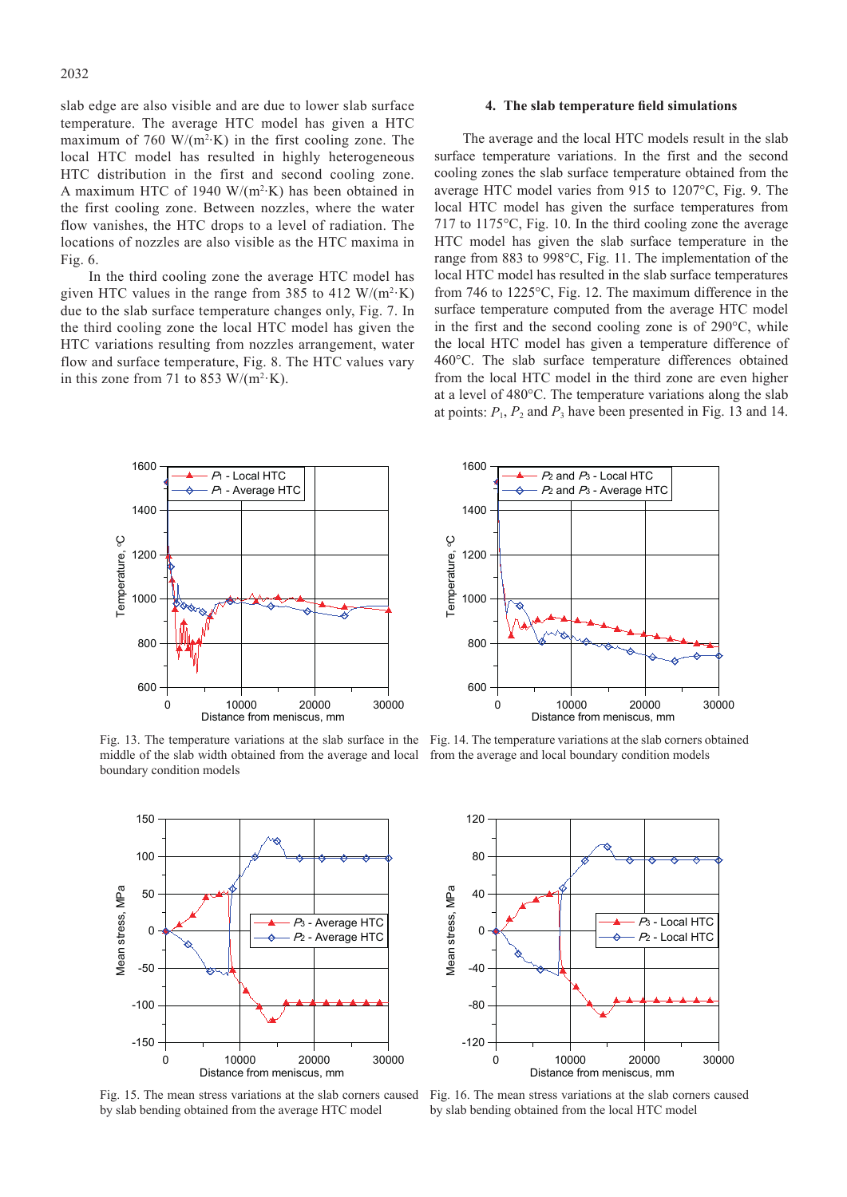slab edge are also visible and are due to lower slab surface temperature. The average HTC model has given a HTC maximum of 760 W/ $(m^2 K)$  in the first cooling zone. The local HTC model has resulted in highly heterogeneous HTC distribution in the first and second cooling zone. A maximum HTC of 1940 W/ $(m^2 K)$  has been obtained in the first cooling zone. Between nozzles, where the water flow vanishes, the HTC drops to a level of radiation. The locations of nozzles are also visible as the HTC maxima in Fig. 6.

In the third cooling zone the average HTC model has given HTC values in the range from 385 to 412  $W/(m^2 \cdot K)$ due to the slab surface temperature changes only, Fig. 7. In the third cooling zone the local HTC model has given the HTC variations resulting from nozzles arrangement, water flow and surface temperature, Fig. 8. The HTC values vary in this zone from 71 to 853 W/( $m^2$ ·K).

### **4. The slab temperature field simulations**

The average and the local HTC models result in the slab surface temperature variations. In the first and the second cooling zones the slab surface temperature obtained from the average HTC model varies from 915 to 1207°C, Fig. 9. The local HTC model has given the surface temperatures from 717 to 1175°C, Fig. 10. In the third cooling zone the average HTC model has given the slab surface temperature in the range from 883 to 998°C, Fig. 11. The implementation of the local HTC model has resulted in the slab surface temperatures from 746 to 1225°C, Fig. 12. The maximum difference in the surface temperature computed from the average HTC model in the first and the second cooling zone is of 290°C, while the local HTC model has given a temperature difference of 460°C. The slab surface temperature differences obtained from the local HTC model in the third zone are even higher at a level of 480°C. The temperature variations along the slab at points:  $P_1$ ,  $P_2$  and  $P_3$  have been presented in Fig. 13 and 14.



Fig. 13. The temperature variations at the slab surface in the Fig. 14. The temperature variations at the slab corners obtained middle of the slab width obtained from the average and local from the average and local boundary condition models boundary condition models



Fig. 15. The mean stress variations at the slab corners caused by slab bending obtained from the average HTC model





Fig. 16. The mean stress variations at the slab corners caused by slab bending obtained from the local HTC model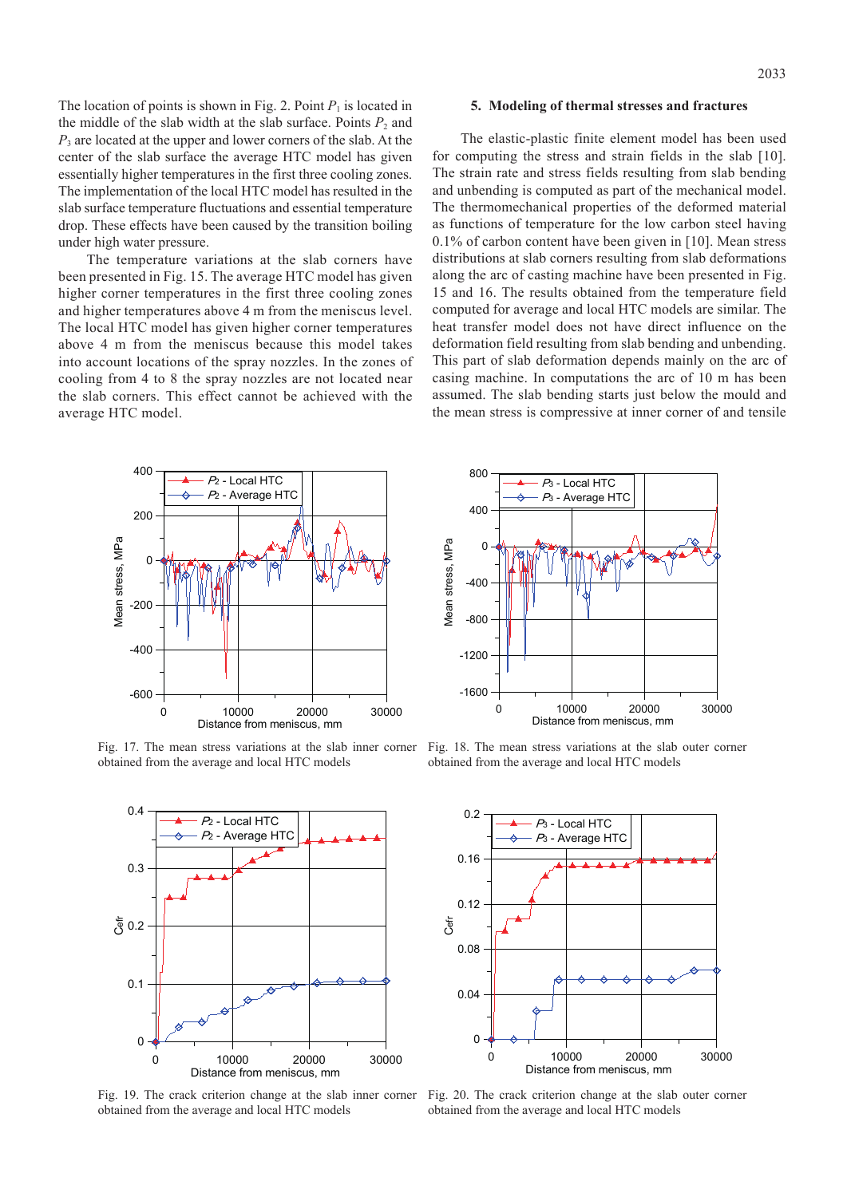The location of points is shown in Fig. 2. Point  $P_1$  is located in the middle of the slab width at the slab surface. Points  $P_2$  and *P*3 are located at the upper and lower corners of the slab. At the center of the slab surface the average HTC model has given essentially higher temperatures in the first three cooling zones. The implementation of the local HTC model has resulted in the slab surface temperature fluctuations and essential temperature drop. These effects have been caused by the transition boiling under high water pressure.

The temperature variations at the slab corners have been presented in Fig. 15. The average HTC model has given higher corner temperatures in the first three cooling zones and higher temperatures above 4 m from the meniscus level. The local HTC model has given higher corner temperatures above 4 m from the meniscus because this model takes into account locations of the spray nozzles. In the zones of cooling from 4 to 8 the spray nozzles are not located near the slab corners. This effect cannot be achieved with the average HTC model.

## **5. Modeling of thermal stresses and fractures**

The elastic-plastic finite element model has been used for computing the stress and strain fields in the slab [10]. The strain rate and stress fields resulting from slab bending and unbending is computed as part of the mechanical model. The thermomechanical properties of the deformed material as functions of temperature for the low carbon steel having 0.1% of carbon content have been given in [10]. Mean stress distributions at slab corners resulting from slab deformations along the arc of casting machine have been presented in Fig. 15 and 16. The results obtained from the temperature field computed for average and local HTC models are similar. The heat transfer model does not have direct influence on the deformation field resulting from slab bending and unbending. This part of slab deformation depends mainly on the arc of casing machine. In computations the arc of 10 m has been assumed. The slab bending starts just below the mould and the mean stress is compressive at inner corner of and tensile



Fig. 17. The mean stress variations at the slab inner corner obtained from the average and local HTC models



Fig. 19. The crack criterion change at the slab inner corner obtained from the average and local HTC models



Fig. 18. The mean stress variations at the slab outer corner obtained from the average and local HTC models



Fig. 20. The crack criterion change at the slab outer corner obtained from the average and local HTC models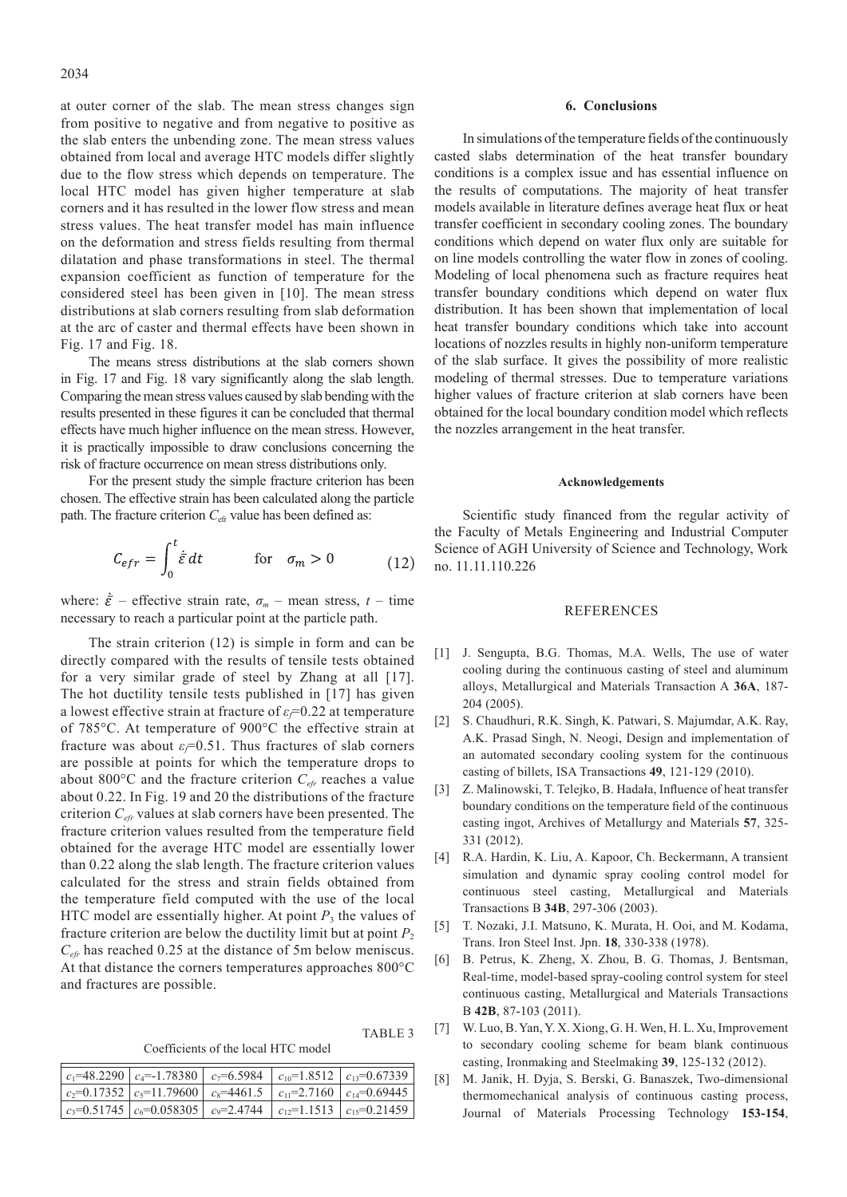at outer corner of the slab. The mean stress changes sign from positive to negative and from negative to positive as the slab enters the unbending zone. The mean stress values obtained from local and average HTC models differ slightly due to the flow stress which depends on temperature. The local HTC model has given higher temperature at slab corners and it has resulted in the lower flow stress and mean stress values. The heat transfer model has main influence on the deformation and stress fields resulting from thermal dilatation and phase transformations in steel. The thermal expansion coefficient as function of temperature for the considered steel has been given in [10]. The mean stress distributions at slab corners resulting from slab deformation at the arc of caster and thermal effects have been shown in Fig. 17 and Fig. 18.

The means stress distributions at the slab corners shown in Fig. 17 and Fig. 18 vary significantly along the slab length. Comparing the mean stress values caused by slab bending with the results presented in these figures it can be concluded that thermal effects have much higher influence on the mean stress. However, it is practically impossible to draw conclusions concerning the risk of fracture occurrence on mean stress distributions only.

For the present study the simple fracture criterion has been chosen. The effective strain has been calculated along the particle path. The fracture criterion  $C_{\text{eff}}$  value has been defined as:

$$
C_{eff} = \int_0^t \dot{\vec{\varepsilon}} \, dt \qquad \text{for} \quad \sigma_m > 0 \tag{12}
$$

where:  $\dot{\vec{\varepsilon}}$  – effective strain rate,  $\sigma_m$  – mean stress,  $t$  – time necessary to reach a particular point at the particle path.

The strain criterion (12) is simple in form and can be directly compared with the results of tensile tests obtained for a very similar grade of steel by Zhang at all [17]. The hot ductility tensile tests published in [17] has given a lowest effective strain at fracture of *εf*=0.22 at temperature of 785°C. At temperature of 900°C the effective strain at fracture was about  $\varepsilon_f$ =0.51. Thus fractures of slab corners are possible at points for which the temperature drops to about 800 $^{\circ}$ C and the fracture criterion  $C_{e f r}$  reaches a value about 0.22. In Fig. 19 and 20 the distributions of the fracture criterion *Cefr* values at slab corners have been presented. The fracture criterion values resulted from the temperature field obtained for the average HTC model are essentially lower than 0.22 along the slab length. The fracture criterion values calculated for the stress and strain fields obtained from the temperature field computed with the use of the local HTC model are essentially higher. At point  $P_3$  the values of fracture criterion are below the ductility limit but at point  $P_2$ *Cefr* has reached 0.25 at the distance of 5m below meniscus. At that distance the corners temperatures approaches 800°C and fractures are possible.

Coefficients of the local HTC model

TABLE 3

| $c_1$ =48.2290   $c_4$ =-1.78380   $c_7$ =6.5984   $c_{10}$ =1.8512   $c_{13}$ =0.67339 |  |  |
|-----------------------------------------------------------------------------------------|--|--|
| $c_2=0.17352$ $c_5=11.79600$ $c_8=4461.5$ $c_{11}=2.7160$ $c_{14}=0.69445$              |  |  |
| $c_3=0.51745$ $ c_6=0.058305 $ $c_9=2.4744$ $ c_{12}=1.1513$ $ c_{15}=0.21459$          |  |  |

#### **6. Conclusions**

In simulations of the temperature fields of the continuously casted slabs determination of the heat transfer boundary conditions is a complex issue and has essential influence on the results of computations. The majority of heat transfer models available in literature defines average heat flux or heat transfer coefficient in secondary cooling zones. The boundary conditions which depend on water flux only are suitable for on line models controlling the water flow in zones of cooling. Modeling of local phenomena such as fracture requires heat transfer boundary conditions which depend on water flux distribution. It has been shown that implementation of local heat transfer boundary conditions which take into account locations of nozzles results in highly non-uniform temperature of the slab surface. It gives the possibility of more realistic modeling of thermal stresses. Due to temperature variations higher values of fracture criterion at slab corners have been obtained for the local boundary condition model which reflects the nozzles arrangement in the heat transfer.

#### **Acknowledgements**

Scientific study financed from the regular activity of the Faculty of Metals Engineering and Industrial Computer Science of AGH University of Science and Technology, Work no. 11.11.110.226

### **REFERENCES**

- [1] J. Sengupta, B.G. Thomas, M.A. Wells, The use of water cooling during the continuous casting of steel and aluminum alloys, Metallurgical and Materials Transaction A **36A**, 187- 204 (2005).
- [2] S. Chaudhuri, R.K. Singh, K. Patwari, S. Majumdar, A.K. Ray, A.K. Prasad Singh, N. Neogi, Design and implementation of an automated secondary cooling system for the continuous casting of billets, ISA Transactions **49**, 121-129 (2010).
- [3] Z. Malinowski, T. Telejko, B. Hadała, Influence of heat transfer boundary conditions on the temperature field of the continuous casting ingot, Archives of Metallurgy and Materials **57**, 325- 331 (2012).
- [4] R.A. Hardin, K. Liu, A. Kapoor, Ch. Beckermann, A transient simulation and dynamic spray cooling control model for continuous steel casting, Metallurgical and Materials Transactions B **34B**, 297-306 (2003).
- [5] T. Nozaki, J.I. Matsuno, K. Murata, H. Ooi, and M. Kodama, Trans. Iron Steel Inst. Jpn. **18**, 330-338 (1978).
- [6] B. Petrus, K. Zheng, X. Zhou, B. G. Thomas, J. Bentsman, Real-time, model-based spray-cooling control system for steel continuous casting, Metallurgical and Materials Transactions B **42B**, 87-103 (2011).
- [7] W. Luo, B. Yan, Y. X. Xiong, G. H. Wen, H. L. Xu, Improvement to secondary cooling scheme for beam blank continuous casting, Ironmaking and Steelmaking **39**, 125-132 (2012).
- [8] M. Janik, H. Dyja, S. Berski, G. Banaszek, Two-dimensional thermomechanical analysis of continuous casting process, Journal of Materials Processing Technology **153-154**,